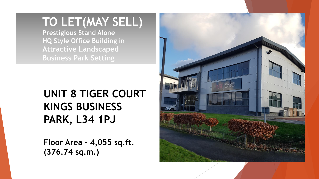# **TO LET(MAY SELL)**

**Prestigious Stand Alone HQ Style Office Building in Attractive Landscaped Business Park Setting**

## **UNIT 8 TIGER COURT KINGS BUSINESS PARK, L34 1PJ**

**Floor Area – 4,055 sq.ft. (376.74 sq.m.)**

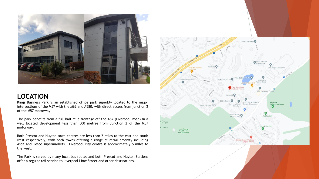

#### **LOCATION**

Kings Business Park is an established office park superbly located to the major intersections of the M57 with the M62 and A580, with direct access from junction 2 of the M57 motorway.

The park benefits from a full half mile frontage off the A57 (Liverpool Road) in a well located development less than 500 metres from Junction 2 of the M57 motorway.

Both Prescot and Huyton town centres are less than 2 miles to the east and south west respectively, with both towns offering a range of retail amenity including Asda and Tesco supermarkets. Liverpool city centre is approximately 5 miles to the west.

The Park is served by many local bus routes and both Prescot and Huyton Stations offer a regular rail service to Liverpool Lime Street and other destinations.

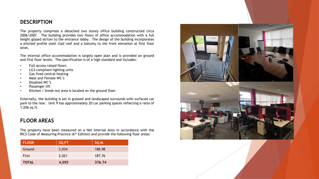#### **DESCRIPTION**

The property comprises a detached two storey office building constructed circa 2006/2007. The building provides two floors of office accommodation with a full height glazed atrium to the entrance lobby. The design of the building incorporates a pitched profile steel clad roof and a balcony to the front elevation at first floor level.

The internal office accommodation is largely open plan and is provided on ground and first floor levels. The specification is of a high standard and includes:

- Full access raised floors
- LG3 compliant lighting units
- Gas fired central heating
- Male and Female WC's
- Disabled WC's
- Passenger lift
- Kitchen / break out area is located on the ground floor.

Externally, the building is set in grassed and landscaped surrounds with surfaced car park to the rear. Unit 9 has approximately 20 car parking spaces reflecting a ratio of 1:206 sq.ft.

#### **FLOOR AREAS**

The property have been measured on a Net Internal Area in accordance with the RICS Code of Measuring Practice (6<sup>th</sup> Edition) and provide the following floor areas:

| <b>FLOOR</b> | SQ.FT | SQ.M.  |
|--------------|-------|--------|
| Ground       | 2,034 | 188.98 |
| First        | 2,021 | 187.76 |
| <b>TOTAL</b> | 4,055 | 376.74 |

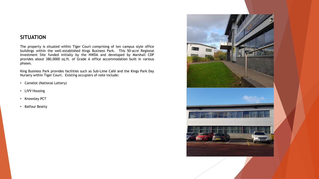#### **SITUATION**

The property is situated within Tiger Court comprising of ten campus style office buildings within the well-established Kings Business Park. This 50-acre Regional Investment Site funded initially by the NWDA and developed by Marshall CDP provides about 380,0000 sq.ft. of Grade A office accommodation built in various phases.

King Business Park provides facilities such as Sub-Lime Café and the Kings Park Day Nursery within Tiger Court. Existing occupiers of note include:

- Camelot (National Lottery)
- LiVV Housing
- Knowsley PCT
- Balfour Beatty